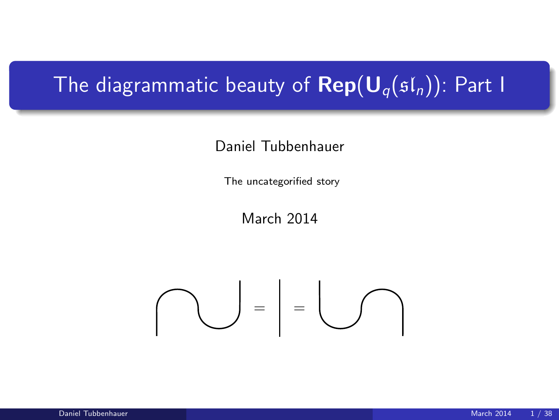# The diagrammatic beauty of  $\mathsf{Rep}(\mathsf{U}_q(\mathfrak{sl}_n))$ : Part I

#### Daniel Tubbenhauer

The uncategorified story

March 2014

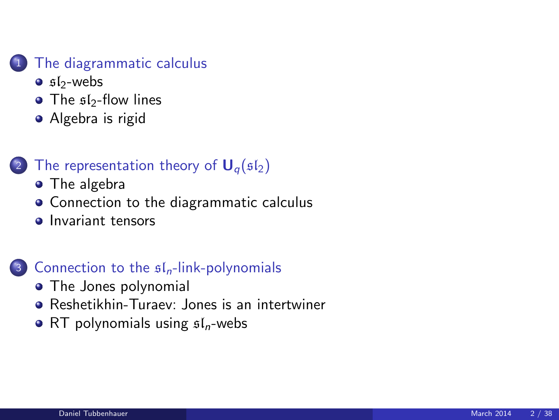#### [The diagrammatic calculus](#page-2-0)

- $\bullet$  sl<sub>2</sub>[-webs](#page-2-0)
- The  $sI_2$ [-flow lines](#page-7-0)
- [Algebra is rigid](#page-9-0)

### [The representation theory of](#page-11-0)  $U_q(sI_2)$

- [The algebra](#page-11-0)
- [Connection to the diagrammatic calculus](#page-15-0)
- **[Invariant tensors](#page-18-0)**

#### 3 [Connection to the](#page-25-0)  $sI_n$ -link-polynomials

- [The Jones polynomial](#page-25-0)
- [Reshetikhin-Turaev: Jones is an intertwiner](#page-28-0)
- [RT polynomials using](#page-31-0)  $sI_n$ -webs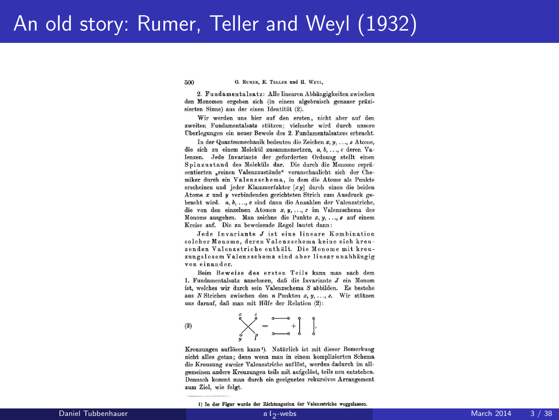## An old story: Rumer, Teller and Weyl (1932)

500 G. RUMER, E. TELLER und H. WEYL.

9. Enndamentalsatz: Alle linearen Abbängigkeiten zwischen den Monomen ergeben sich (in einem algebraisch genauer präzisierten Sinne) aus der einen Identität (2).

Wir werden uns hier auf den ersten, nicht aber auf den zweiten Fundamentalsatz stützen: vielmehr wird durch unsere Überlegungen ein neuer Beweis des 2. Fundamentalsatzes erbracht.

In der Quantenmechanik bedeuten die Zeichen x. u. ... z Atome. die sich zu einem Molekül zusammensetzen. a. b. .... c deren Valenzen. Jede Invariante der geforderten Ordnung stellt einen Spinzustand des Moleküls dar. Die durch die Monome repräsentierten .reinen Valenzzustände" veranschaulicht sich der Chemiker durch ein Valenzschema, in dem die Atome als Punkte erscheinen und jeder Klammerfaktor [xu] durch einen die beiden Atome x und y verbindenden gerichteten Strich zum Ausdruck gebracht wird. a, b, ..., c sind dann die Anzahlen der Valenzstriche, die von den einzelnen Atomen x. u. ... z im Valenzschema des Monoms ausgehen. Man zeichne die Punkte  $x, y, \ldots, z$  auf einem Kreise auf. Die zu beweisende Regel lautet dann:

Jede Invariante J ist eine lineare Kombination solcher Monome, deren Valenzschema keine sich kreuzenden Valenzstriche enthält. Die Monome mit kreuzungslosem Valenzschema sind aber linear unabhängig von einander.

Beim Beweise des ersten Teils kann man nach dem 1. Fundamentalsatz annehmen, daß die Invariante J ein Monom ist, welches wir durch sein Valenzschema S abbilden. Es bestehe aus N Strichen zwischen den n Punkten x, y, ..., z. Wir stützen uns darauf, daß man mit Hilfe der Relation (2):

$$
B) \qquad \qquad \overset{x}{\underset{g}{\bigvee}} \overset{f}{\underset{g}{\bigvee}} = \overset{a}{\underset{a \longrightarrow a}{\xrightarrow{a}}} + \begin{bmatrix} 1 \\ 0 \end{bmatrix}.
$$

 $\theta$ 

Kreuzungen auflösen kann<sup>1</sup>). Natürlich ist mit dieser Bemerkung nicht alles getan; denn wenn man in einem komplizierten Schema die Kreuzung zweier Valenzstriche auflöst, werden dadurch im allgemeinen andere Kreuzungen teils mit aufgelöst, teils neu entstehen. Dennoch kommt man durch ein geeignetes rekursives Arrangement zum Ziel, wie folgt.

1) In der Figur wurde der Richtungssinn der Valenzstriche weggelassen

<span id="page-2-0"></span>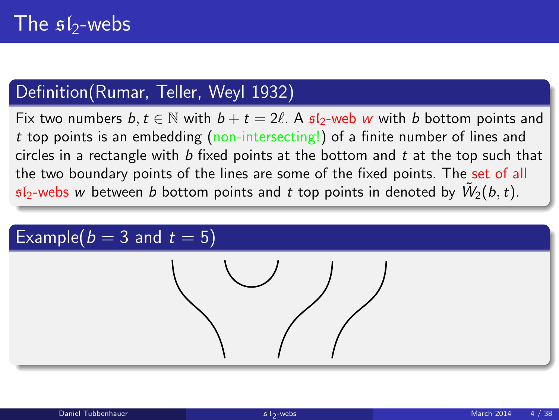### Definition(Rumar, Teller, Weyl 1932)

Fix two numbers  $b, t \in \mathbb{N}$  with  $b + t = 2\ell$ . A  $\mathfrak{sl}_2$ -web w with b bottom points and t top points is an embedding (non-intersecting!) of a finite number of lines and circles in a rectangle with  $b$  fixed points at the bottom and  $t$  at the top such that the two boundary points of the lines are some of the fixed points. The set of all  $\mathfrak{sl}_2$ -webs  $w$  between  $b$  bottom points and  $t$  top points in denoted by  $\tilde{W}_2(b,t)$ .

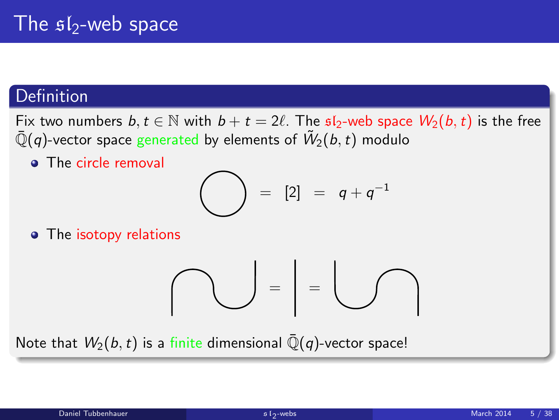### Definition

Fix two numbers  $b, t \in \mathbb{N}$  with  $b + t = 2\ell$ . The  $\mathfrak{sl}_2$ -web space  $W_2(b, t)$  is the free  $\bar{\mathbb{Q}}(q)$ -vector space generated by elements of  $\tilde{W}_2(b,t)$  modulo

• The circle removal

$$
\bigodot = [2] = q+q^{-1}
$$

• The isotopy relations

$$
\bigcap_{i=1}^n \mathbb{Z}_p = \bigcup_{i=1}^n \mathbb{Z}_p
$$

Note that  $W_2(b, t)$  is a finite dimensional  $\overline{Q}(q)$ -vector space!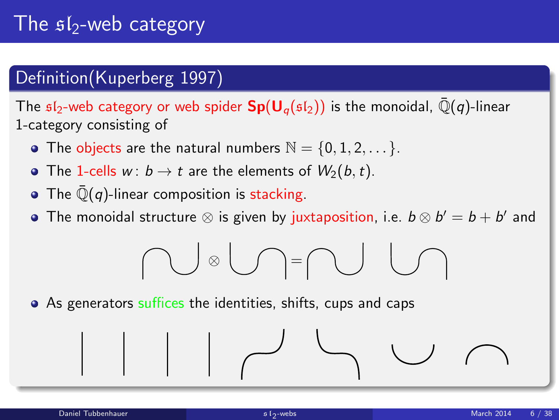# The  $$I_2$ -web category

### Definition(Kuperberg 1997)

The  $sI_2$ -web category or web spider  $Sp(U_\alpha(sI_2))$  is the monoidal,  $\overline{Q}(q)$ -linear 1-category consisting of

- The objects are the natural numbers  $\mathbb{N} = \{0, 1, 2, \dots\}$ .
- The 1-cells  $w: b \to t$  are the elements of  $W_2(b, t)$ .
- The  $\overline{\mathbb{Q}}(q)$ -linear composition is stacking.
- The monoidal structure  $\otimes$  is given by juxtaposition, i.e.  $b \otimes b' = b + b'$  and

$$
\bigcap\mathbb{C}\otimes\bigcup\mathbb{C}=\bigcap\mathbb{C}\cup\bigcap
$$

• As generators suffices the identities, shifts, cups and caps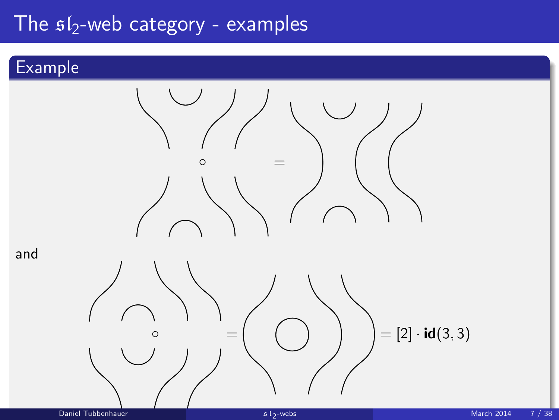## The  $sI_2$ -web category - examples

### Example

and

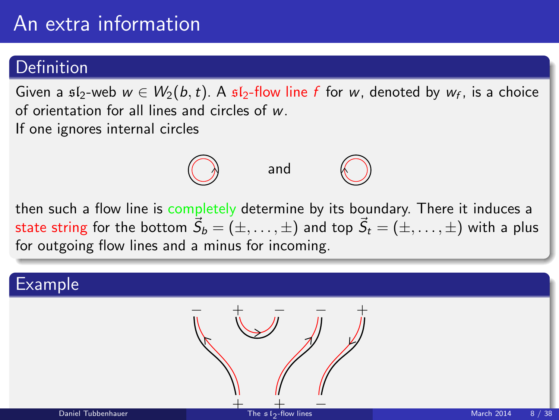# An extra information

#### Definition

Given a  $\mathfrak{sl}_2$ -web  $w \in W_2(b,t)$ . A  $\mathfrak{sl}_2$ -flow line  $f$  for  $w$ , denoted by  $w_f$ , is a choice of orientation for all lines and circles of w. If one ignores internal circles



then such a flow line is completely determine by its boundary. There it induces a state string for the bottom  $\vec{S}_b = (\pm, \dots, \pm)$  and top  $\vec{S}_t = (\pm, \dots, \pm)$  with a plus for outgoing flow lines and a minus for incoming.

### Example

<span id="page-7-0"></span>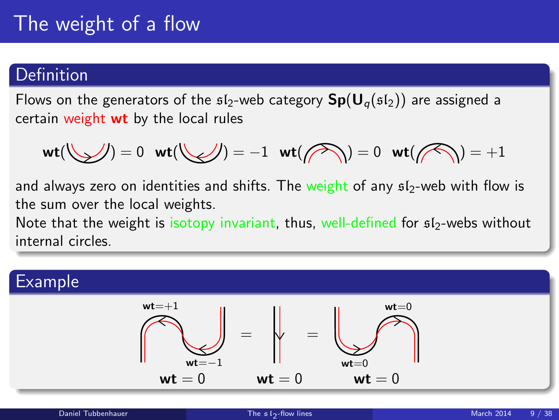# The weight of a flow

#### **Definition**

Flows on the generators of the  $\mathfrak{sl}_2$ -web category  $\mathsf{Sp}(\mathsf{U}_q(\mathfrak{sl}_2))$  are assigned a certain weight wt by the local rules

$$
\mathsf{wt}(\bigvee_{\hspace{1mm}{\nearrow}})=0\quad \mathsf{wt}(\bigvee_{\hspace{1mm}{\nearrow}})=-1\quad \mathsf{wt}(\textcolor{red}{\nearrow\hspace{1mm}})=0\quad \mathsf{wt}(\textcolor{red}{\nearrow\hspace{1mm}})=+1
$$

and always zero on identities and shifts. The weight of any  $512$ -web with flow is the sum over the local weights.

Note that the weight is isotopy invariant, thus, well-defined for  $s_1/2$ -webs without internal circles.

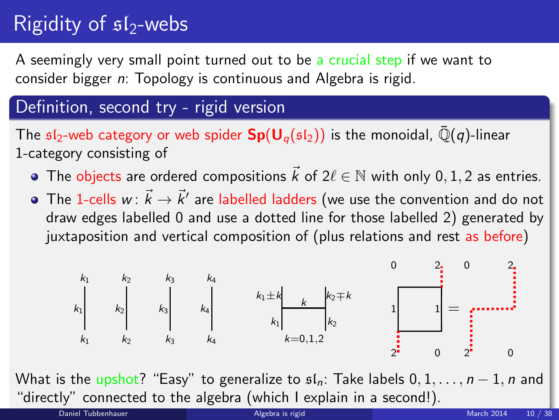# Rigidity of  $sI_2$ -webs

A seemingly very small point turned out to be a crucial step if we want to consider bigger n: Topology is continuous and Algebra is rigid.

### Definition, second try - rigid version

The  $sI_2$ -web category or web spider  $Sp(U_q(sI_2))$  is the monoidal,  $\overline{Q}(q)$ -linear 1-category consisting of

- The objects are ordered compositions  $\vec{k}$  of  $2\ell \in \mathbb{N}$  with only 0, 1, 2 as entries.
- The 1-cells  $w\colon \vec{k}\to \vec{k}'$  are labelled ladders (we use the convention and do not draw edges labelled 0 and use a dotted line for those labelled 2) generated by juxtaposition and vertical composition of (plus relations and rest as before)

<span id="page-9-0"></span>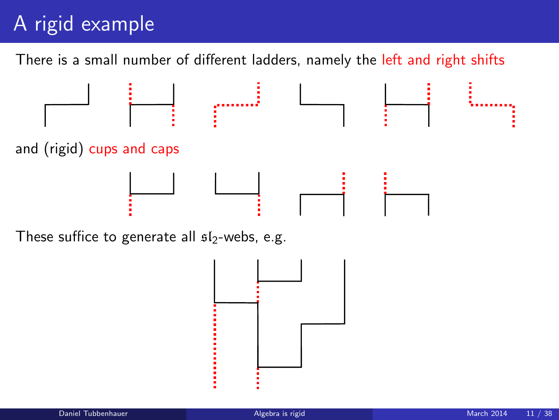# A rigid example

There is a small number of different ladders, namely the left and right shifts



These suffice to generate all  $s1<sub>2</sub>$ -webs, e.g.

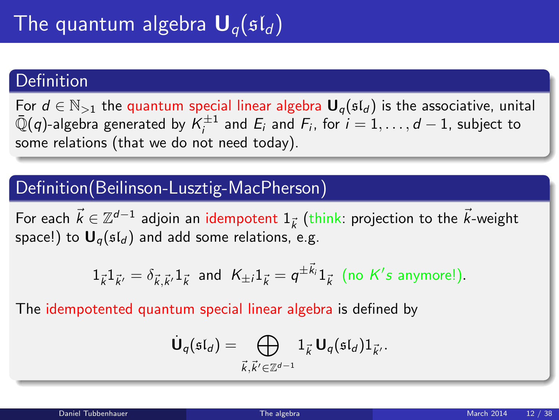#### **Definition**

For  $d \in \mathbb{N}_{>1}$  the quantum special linear algebra  $\mathbf{U}_q(\mathfrak{sl}_d)$  is the associative, unital  $\bar{\mathbb{Q}}(q)$ -algebra generated by  $\mathcal{K}^{\pm 1}_i$  and  $E_i$  and  $\mathcal{F}_i$ , for  $i=1,\ldots,d-1$ , subject to some relations (that we do not need today).

### Definition(Beilinson-Lusztig-MacPherson)

For each  $\vec{k} \in \mathbb{Z}^{d-1}$  adjoin an idempotent  $1_{\vec{k}}$  (think: projection to the  $\vec{k}$ -weight space!) to  $U_q(sI_d)$  and add some relations, e.g.

$$
1_{\vec{k}}1_{\vec{k}'}=\delta_{\vec{k},\vec{k}'}1_{\vec{k}} \text{ and } K_{\pm i}1_{\vec{k}}=q^{\pm \vec{k}_i}1_{\vec{k}} \text{ (no } K's \text{ anymore!).}
$$

The idempotented quantum special linear algebra is defined by

<span id="page-11-0"></span>
$$
\dot{\mathbf{U}}_q(\mathfrak{sl}_d)=\bigoplus_{\vec{k},\vec{k'}\in\mathbb{Z}^{d-1}}1_{\vec{k}}\,\mathbf{U}_q(\mathfrak{sl}_d)1_{\vec{k'}}.
$$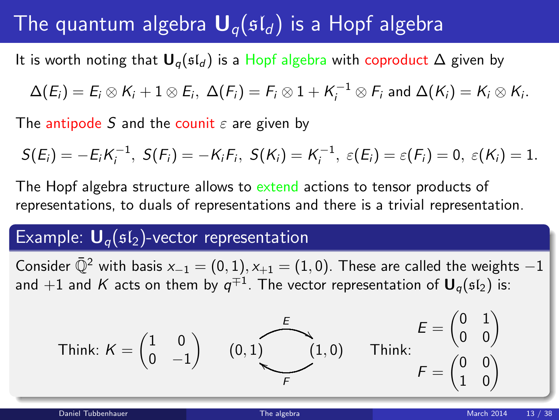# The quantum algebra  $U_{q}(sl_{d})$  is a Hopf algebra

It is worth noting that  $U_q$ ( $\mathfrak{sl}_d$ ) is a Hopf algebra with coproduct  $\Delta$  given by

 $\Delta(E_i)=E_i\otimes K_i+1\otimes E_i,\ \Delta(F_i)=F_i\otimes 1+K_i^{-1}\otimes F_i$  and  $\Delta(K_i)=K_i\otimes K_i.$ 

The antipode S and the counit  $\varepsilon$  are given by

 $S(E_i) = -E_i K_i^{-1}, S(F_i) = -K_i F_i, S(K_i) = K_i^{-1}, \varepsilon(E_i) = \varepsilon(F_i) = 0, \varepsilon(K_i) = 1.$ 

The Hopf algebra structure allows to extend actions to tensor products of representations, to duals of representations and there is a trivial representation.

#### Example:  $U_q(sI_2)$ -vector representation

Consider  $\overline{Q}^2$  with basis  $x_{-1} = (0, 1), x_{+1} = (1, 0)$ . These are called the weights  $-1$ and  $+1$  and  $K$  acts on them by  $q^{\mp 1}.$  The vector representation of  $\boldsymbol{\mathsf{U}}_q(\mathfrak{sl}_2)$  is:

Think: 
$$
K = \begin{pmatrix} 1 & 0 \\ 0 & -1 \end{pmatrix}
$$
  $(0, 1)$   $\begin{matrix} E \\ 1, 0 \end{matrix}$  Think:  $\begin{matrix} E = \begin{pmatrix} 0 & 1 \\ 0 & 0 \end{pmatrix} \\ F = \begin{pmatrix} 0 & 0 \\ 1 & 0 \end{pmatrix}$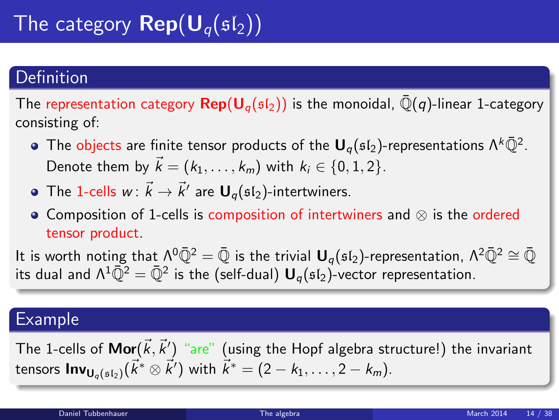# The category  $\mathbf{Rep}(\mathbf{U}_q(\mathfrak{sl}_2))$

### Definition

The representation category  $\text{Rep}(\mathsf{U}_{q}(\mathfrak{sl}_{2}))$  is the monoidal,  $\bar{\mathbb{Q}}(q)$ -linear 1-category consisting of:

- The objects are finite tensor products of the  ${\bm \mathsf U}_q(\mathfrak{sl}_2)$ -representations  $\Lambda^k\bar{\mathbb Q}^2$ . Denote them by  $\vec{k} = (k_1, \ldots, k_m)$  with  $k_i \in \{0, 1, 2\}$ .
- The 1-cells  $w\colon \vec{k}\to \vec{k}'$  are  $\mathbf{U}_q(\mathfrak{sl}_2)$ -intertwiners.
- Composition of 1-cells is composition of intertwiners and ⊗ is the ordered tensor product.

It is worth noting that  $\Lambda^0\bar{Q}^2 = \bar{Q}$  is the trivial  $U_q(\mathfrak{sl}_2)$ -representation,  $\Lambda^2\bar{Q}^2 \cong \bar{Q}$ its dual and  $\Lambda^1\bar{\mathbb Q}^2=\bar{\mathbb Q}^2$  is the (self-dual)  ${\sf U}_q(\mathfrak{sl}_2)$ -vector representation.

#### Example

The 1-cells of  $\mathsf{Mor}(\vec{k},\vec{k}')$  "are" (using the Hopf algebra structure!) the invariant tensors  $\mathsf{Inv}_{\mathsf{U}_q(\mathfrak{sl}_2)}(\vec{k}^* \otimes \vec{k}')$  with  $\vec{k}^* = (2 - k_1, \ldots, 2 - k_m).$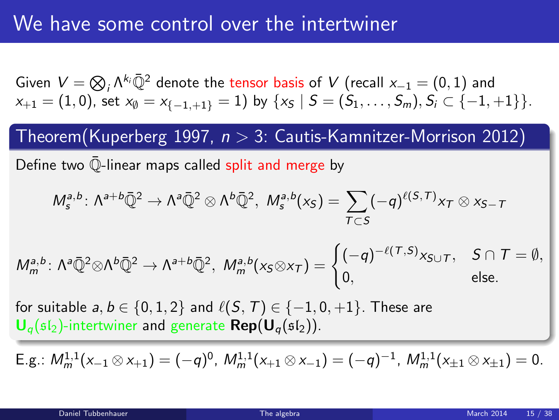Given  $V=\bigotimes_i \Lambda^{k_i}\bar{\mathbb{Q}}^2$  denote the tensor basis of  $V$  (recall  $x_{-1}=(0,1)$  and  $x_{+1} = (1, 0)$ , set  $x_{\emptyset} = x_{\{-1, +1\}} = 1$ ) by  $\{x_{\mathcal{S}} \mid \mathcal{S} = (S_1, \ldots, S_m), S_i \subset \{-1, +1\}\}.$ 

Theorem(Kuperberg 1997,  $n > 3$ : Cautis-Kamnitzer-Morrison 2012)

Define two Q-linear maps called split and merge by

$$
M_s^{a,b}\colon \Lambda^{a+b}\bar{\mathbb{Q}}^2\to \Lambda^a\bar{\mathbb{Q}}^2\otimes \Lambda^b\bar{\mathbb{Q}}^2,\ M_s^{a,b}(x_S)=\sum_{T\subset S}(-q)^{\ell(S,T)}x_T\otimes x_{S-T}
$$

$$
M_m^{a,b}\colon \Lambda^a\bar{\mathbb{Q}}^2\otimes\Lambda^b\bar{\mathbb{Q}}^2\to \Lambda^{a+b}\bar{\mathbb{Q}}^2,\ M_m^{a,b}(x_S\otimes x_T)=\begin{cases} (-q)^{-\ell(T,S)}x_{S\cup T}, & S\cap T=\emptyset, \\ 0, & \text{else.} \end{cases}
$$

for suitable  $a, b \in \{0, 1, 2\}$  and  $\ell(S, T) \in \{-1, 0, +1\}$ . These are  $U_q({\frak s}{\frak l}_2)$ -intertwiner and generate  ${\sf Rep}(U_q({\frak s}{\frak l}_2)).$ 

E.g.:  $M_m^{1,1}(x_{-1}\otimes x_{+1}) = (-q)^0$ ,  $M_m^{1,1}(x_{+1}\otimes x_{-1}) = (-q)^{-1}$ ,  $M_m^{1,1}(x_{\pm 1}\otimes x_{\pm 1}) = 0$ .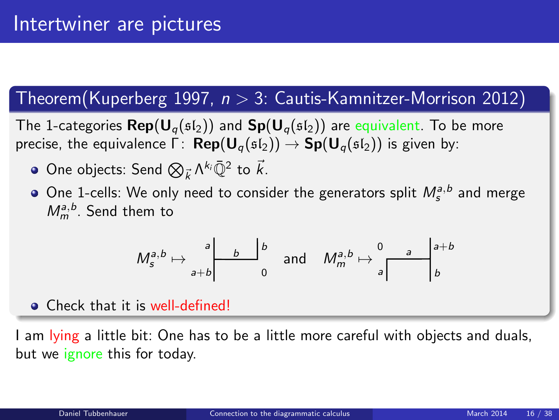### $Theorem (Kuperberg 1997, n > 3: Cautis-Kamnitzer-Morrison 2012)$

The 1-categories  $\text{Rep}(\mathbf{U}_{q}(\mathfrak{sl}_2))$  and  $\text{Sp}(\mathbf{U}_{q}(\mathfrak{sl}_2))$  are equivalent. To be more precise, the equivalence  $\Gamma:$  **Rep** $(U_q(\mathfrak{sl}_2)) \to Sp(U_q(\mathfrak{sl}_2))$  is given by:

- One objects: Send  $\bigotimes_{\vec{k}} \Lambda^{k_i} \bar{\mathbb{Q}}^2$  to  $\vec{k}$ .
- One 1-cells: We only need to consider the generators split  $M_s^{a,b}$  and merge  $M_m^{a,b}$ . Send them to

<span id="page-15-0"></span>
$$
M_s^{a,b}\mapsto\left.\begin{matrix}a\\b\end{matrix}\right|\left.\begin{matrix}b\\b\end{matrix}\right|^{b}\quad\text{and}\quad M_m^{a,b}\mapsto\left.\begin{matrix}0\\a\end{matrix}\right|\left.\begin{matrix}a+b\\b\end{matrix}\right)
$$

**Q** Check that it is well-defined!

I am lying a little bit: One has to be a little more careful with objects and duals, but we ignore this for today.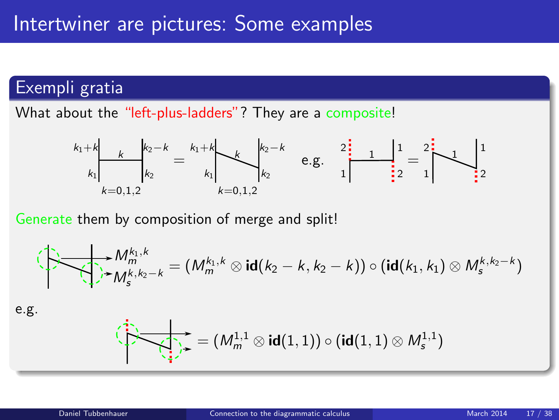### Exempli gratia

What about the "left-plus-ladders"? They are a composite!



Generate them by composition of merge and split!

$$
\bigoplus_{\mathbf{M}_{m}^{k},k} \mathbf{M}_{m}^{k_{1},k} = (M_{m}^{k_{1},k} \otimes \mathbf{id}(k_{2}-k, k_{2}-k)) \circ (\mathbf{id}(k_{1},k_{1}) \otimes M_{s}^{k,k_{2}-k})
$$

e.g.

$$
\overbrace{\leftarrow{\smash{\leftarrow}}\rightarrow{\smash{\leftarrow}}\mathop{\rightarrow}\limits_{\smash{\leftarrow}}\mathop{=}\left(M_{m}^{1,1}\otimes\text{id}(1,1)\right)\circ(\text{id}(1,1)\otimes M_{s}^{1,1})}
$$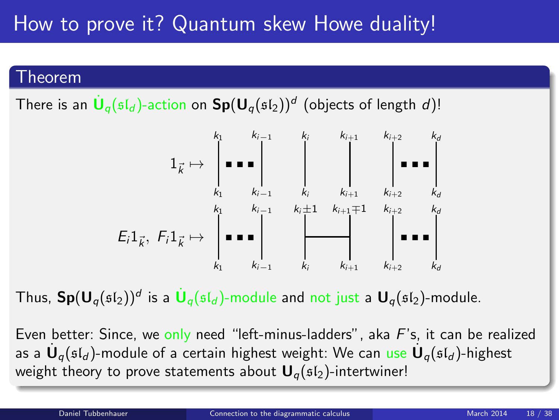# How to prove it? Quantum skew Howe duality!

#### Theorem

There is an  $\dot{\textbf U}_q(\mathfrak{sl}_d)$ -action on  $\textbf{Sp}(\textbf U_q(\mathfrak{sl}_2))^d$  (objects of length  $d)!$ 



Thus,  $\mathbf{Sp}(\mathsf{U}_q(\mathfrak{sl}_2))^d$  is a  $\dot{\mathsf{U}}_q(\mathfrak{sl}_d)$ -module and not just a  $\mathsf{U}_q(\mathfrak{sl}_2)$ -module.

Even better: Since, we only need "left-minus-ladders", aka  $F$ 's, it can be realized as a  $\dot{\mathsf{U}}_q(\mathfrak{sl}_d)$ -module of a certain highest weight: We can use  $\dot{\mathsf{U}}_q(\mathfrak{sl}_d)$ -highest weight theory to prove statements about  $U_q(sI_2)$ -intertwiner!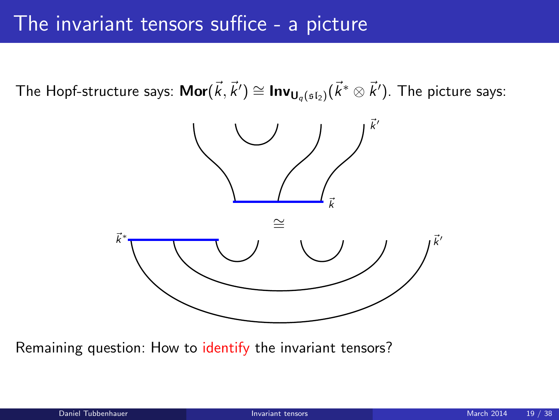## The invariant tensors suffice - a picture

The Hopf-structure says:  $\mathsf{Mor}(\vec{k},\vec{k}')\cong \mathsf{Inv}_{\mathsf{U}_q(\mathfrak{sl}_2)}(\vec{k}^*\otimes\vec{k}')$ . The picture says:



<span id="page-18-0"></span>Remaining question: How to identify the invariant tensors?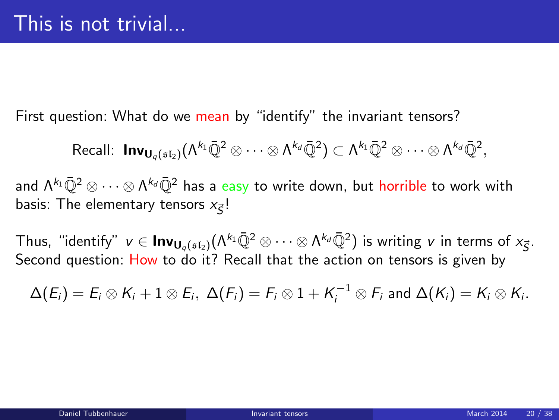First question: What do we mean by "identify" the invariant tensors?

$$
\text{Recall: }\text{Inv}_{\textbf{U}_q(\mathfrak{sl}_2)}(\Lambda^{k_1}\bar{\mathbb{Q}}^2\otimes\cdots\otimes\Lambda^{k_d}\bar{\mathbb{Q}}^2)\subset \Lambda^{k_1}\bar{\mathbb{Q}}^2\otimes\cdots\otimes\Lambda^{k_d}\bar{\mathbb{Q}}^2,
$$

and Λ<sup>kı</sup>ℚ<sup>2</sup> ⊗ ⋯ ⊗ Λ<sup>k</sup>₫ℚ<sup>2</sup> has a <mark>easy</mark> to write down, but <mark>horrible</mark> to work with basis: The elementary tensors  $x_{\vec{S}}!$ 

Thus, "identify"  $v\in\mathsf{Inv}_{\mathsf{U}_q(\mathfrak{sl}_2)}(\Lambda^{k_1}\bar{\mathbb{Q}}^2\otimes\cdots\otimes\Lambda^{k_d}\bar{\mathbb{Q}}^2)$  is writing  $v$  in terms of  $x_{\vec{S}}.$ Second question: How to do it? Recall that the action on tensors is given by

$$
\Delta(E_i)=E_i\otimes K_i+1\otimes E_i,\ \Delta(F_i)=F_i\otimes 1+K_i^{-1}\otimes F_i\ \text{and}\ \Delta(K_i)=K_i\otimes K_i.
$$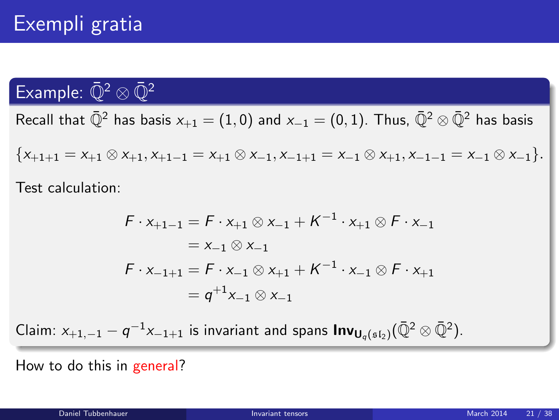### Example:  $\bar{\mathbb{O}}^2 \otimes \bar{\mathbb{O}}^2$

Recall that  $\bar{\mathbb{Q}}^2$  has basis  $x_{+1} = (1,0)$  and  $x_{-1} = (0,1)$ . Thus,  $\bar{\mathbb{Q}}^2 \otimes \bar{\mathbb{Q}}^2$  has basis

 ${x+1+1 = x+1 \otimes x+1, x+1-1 = x+1 \otimes x-1, x-1+1 = x-1 \otimes x+1, x-1-1 = x-1 \otimes x-1}.$ 

Test calculation:

$$
F \cdot x_{+1-1} = F \cdot x_{+1} \otimes x_{-1} + K^{-1} \cdot x_{+1} \otimes F \cdot x_{-1}
$$
  
=  $x_{-1} \otimes x_{-1}$   

$$
F \cdot x_{-1+1} = F \cdot x_{-1} \otimes x_{+1} + K^{-1} \cdot x_{-1} \otimes F \cdot x_{+1}
$$
  
=  $q^{+1}x_{-1} \otimes x_{-1}$ 

Claim:  $x_{+1,-1} - q^{-1}x_{-1+1}$  is invariant and spans  $\textsf{Inv}_{\textsf{U}_q(\mathfrak{sl}_2)}(\bar{\mathbb{Q}}^2 \otimes \bar{\mathbb{Q}}^2)$ .

How to do this in general?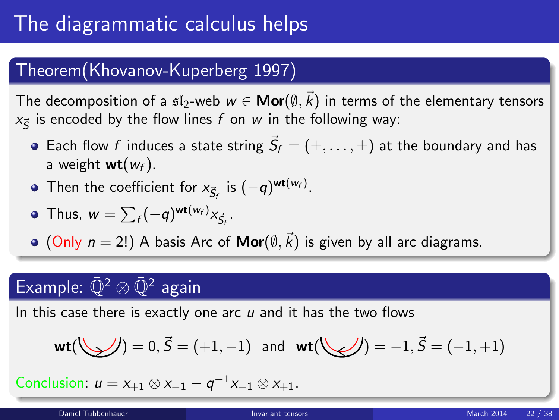### Theorem(Khovanov-Kuperberg 1997)

The decomposition of a  $\mathfrak{sl}_2$ -web  $w\in\mathsf{Mor}(\emptyset,\vec{k})$  in terms of the elementary tensors  $x_{\vec{S}}$  is encoded by the flow lines  $f$  on  $w$  in the following way:

- Each flow f induces a state string  $\vec{S}_f = (\pm, \dots, \pm)$  at the boundary and has a weight  $wt(w_f)$ .
- Then the coefficient for  $x_{\vec{S}_f}$  is  $(-q)^{\text{wt}(w_f)}$ .

• Thus, 
$$
w = \sum_f (-q)^{\mathsf{wt}(w_f)} x_{\vec{S}_f}.
$$

 $(Only n = 2!)$  A basis Arc of  $Mor(\emptyset, \vec{k})$  is given by all arc diagrams.

# Example:  $\bar{\mathbb{Q}}^2 \otimes \bar{\mathbb{Q}}^2$  again

In this case there is exactly one arc  $u$  and it has the two flows

$$
\mathsf{wt}(\bigcup \bigcup) = 0, \vec{S} = (+1,-1) \text{ and } \mathsf{wt}(\bigcup \bigcup) = -1, \vec{S} = (-1,+1)
$$

Conclusion:  $u = x_{+1} \otimes x_{-1} - q^{-1}x_{-1} \otimes x_{+1}$ .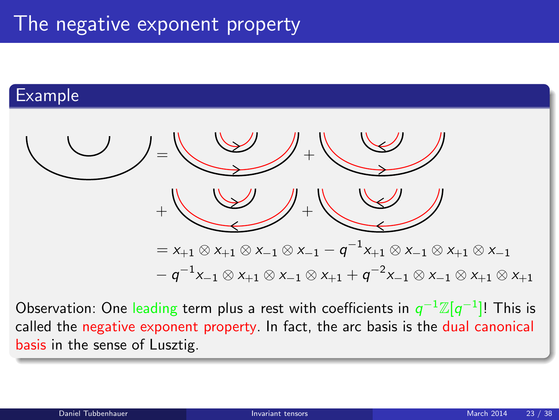### Example



Observation: One leading term plus a rest with coefficients in  $q^{-1}{\mathbb Z}[q^{-1}]!$  This is called the negative exponent property. In fact, the arc basis is the dual canonical basis in the sense of Lusztig.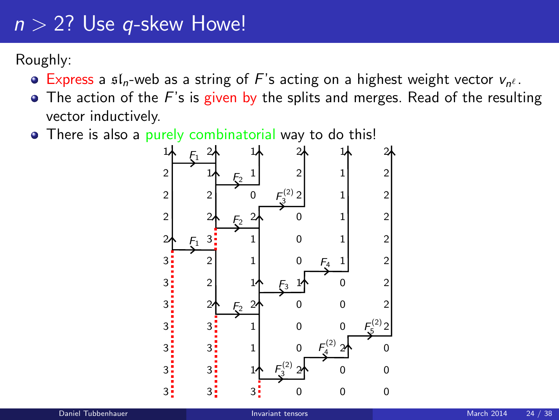# $n > 2$ ? Use q-skew Howe!

Roughly:

- Express a  $\mathfrak{sl}_n$ -web as a string of F's acting on a highest weight vector  $v_{n^e}$ .
- $\bullet$  The action of the F's is given by the splits and merges. Read of the resulting vector inductively.
- There is also a purely combinatorial way to do this!

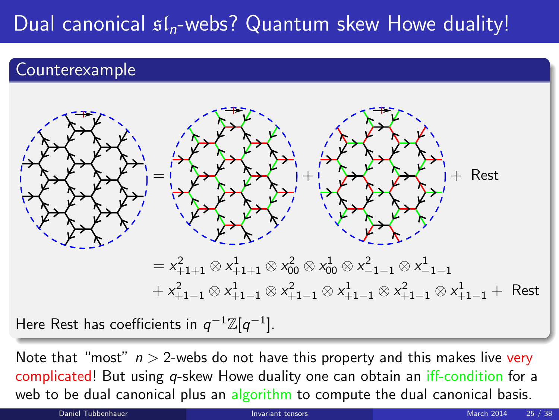# Dual canonical  $\mathfrak{sl}_n$ -webs? Quantum skew Howe duality!

### Counterexample



Note that "most"  $n > 2$ -webs do not have this property and this makes live very complicated! But using q-skew Howe duality one can obtain an iff-condition for a web to be dual canonical plus an algorithm to compute the dual canonical basis.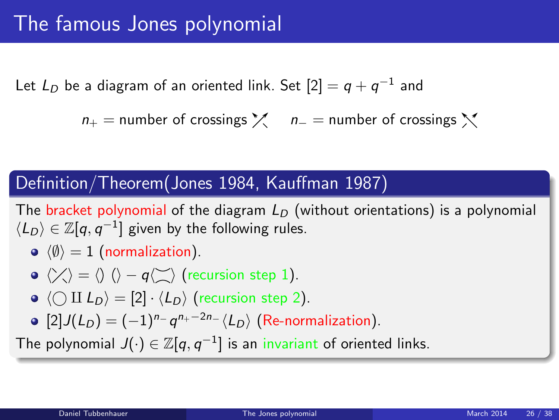Let  $L_D$  be a diagram of an oriented link. Set  $[2]=q+q^{-1}$  and

 $n_{+}$  = number of crossings  $\chi$  n<sub>−</sub> = number of crossings  $\chi$ 

#### Definition/Theorem(Jones 1984, Kauffman 1987)

The bracket polynomial of the diagram  $L<sub>D</sub>$  (without orientations) is a polynomial  $\langle L_D \rangle \in \mathbb{Z}[q,q^{-1}]$  given by the following rules.

 $\langle \emptyset \rangle = 1$  (normalization).

• 
$$
\langle \rangle \langle \rangle = \langle \rangle
$$
  $\langle \rangle - q \langle \rangle$  (recursion step 1).

- $\bullet \langle \bigcirc \amalg L_D \rangle = [2] \cdot \langle L_D \rangle$  (recursion step 2).
- <span id="page-25-0"></span> $[2]J(L_D) = (-1)^{n_{-}} q^{n_{+}-2n_{-}} \langle L_D \rangle$  (Re-normalization).

The polynomial  $J(\cdot)\in \mathbb{Z}[q,q^{-1}]$  is an invariant of oriented links.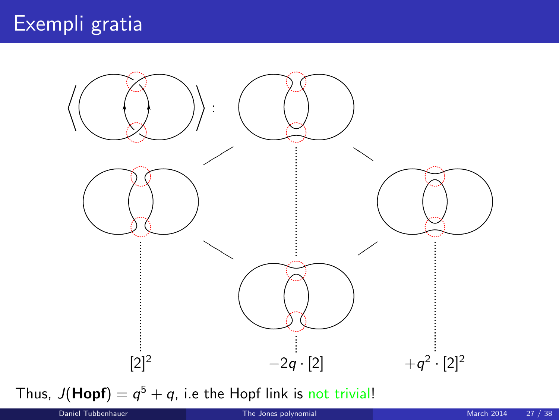

Thus,  $J(Hopf) = q^5 + q$ , i.e the Hopf link is not trivial!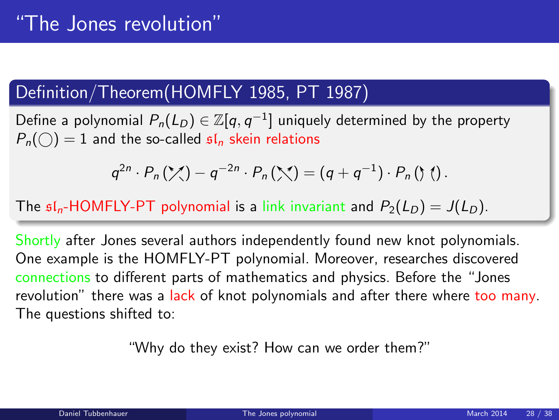### Definition/Theorem(HOMFLY 1985, PT 1987)

Define a polynomial  $P_n(L_D)\in \mathbb{Z}[q,q^{-1}]$  uniquely determined by the property  $P_n(\bigcap) = 1$  and the so-called  $\mathfrak{sl}_n$  skein relations

$$
q^{2n}\cdot P_n(\mathcal{X})-q^{-2n}\cdot P_n(\mathcal{X})=(q+q^{-1})\cdot P_n(\mathcal{Y})
$$
.

The  $\mathfrak{sl}_n$ -HOMFLY-PT polynomial is a link invariant and  $P_2(L_D) = J(L_D)$ .

Shortly after Jones several authors independently found new knot polynomials. One example is the HOMFLY-PT polynomial. Moreover, researches discovered connections to different parts of mathematics and physics. Before the "Jones revolution" there was a lack of knot polynomials and after there where too many. The questions shifted to:

"Why do they exist? How can we order them?"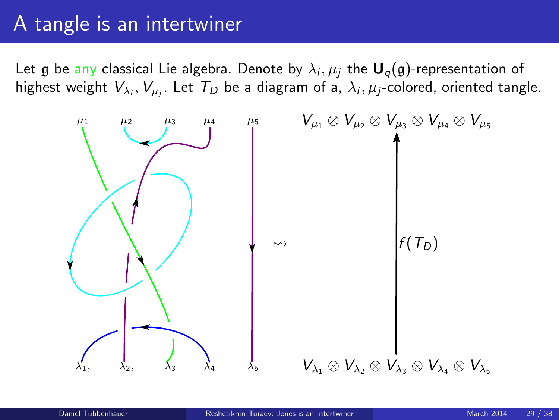# A tangle is an intertwiner

Let  $\frak g$  be any classical Lie algebra. Denote by  $\lambda_i,\mu_j$  the  $\boldsymbol{\mathsf{U}}_q(\frak g)$ -representation of highest weight  $V_{\lambda_i},V_{\mu_j}.$  Let  $\mathcal{T}_D$  be a diagram of a,  $\lambda_i,\mu_j$ -colored, oriented tangle.

<span id="page-28-0"></span>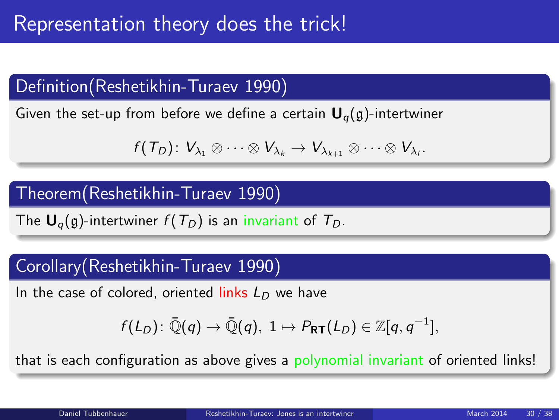### Definition(Reshetikhin-Turaev 1990)

Given the set-up from before we define a certain  $U_{q}(q)$ -intertwiner

$$
f(T_D)\colon V_{\lambda_1}\otimes\cdots\otimes V_{\lambda_k}\to V_{\lambda_{k+1}}\otimes\cdots\otimes V_{\lambda_l}.
$$

#### Theorem(Reshetikhin-Turaev 1990)

The  $U_q(q)$ -intertwiner  $f(T_p)$  is an invariant of  $T_p$ .

#### Corollary(Reshetikhin-Turaev 1990)

In the case of colored, oriented links  $L_D$  we have

$$
f(L_D)\colon \bar{\mathbb{Q}}(q)\to \bar{\mathbb{Q}}(q),\; 1\mapsto P_{\mathsf{RT}}(L_D)\in \mathbb{Z}[q,q^{-1}],
$$

that is each configuration as above gives a polynomial invariant of oriented links!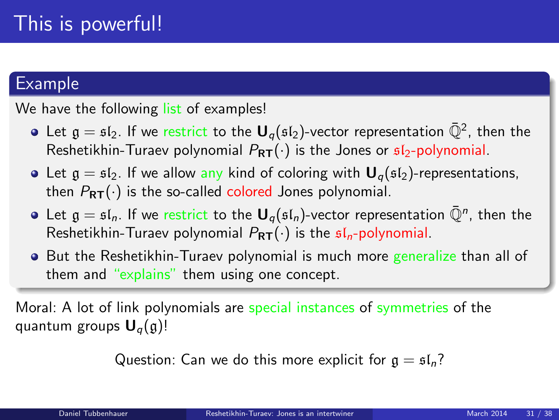#### Example

We have the following list of examples!

- Let  $\mathfrak{g}=\mathfrak{sl}_2.$  If we restrict to the  $\mathsf{U}_q(\mathfrak{sl}_2)$ -vector representation  $\bar{\mathbb{Q}}^2$ , then the Reshetikhin-Turaev polynomial  $P_{RT}(\cdot)$  is the Jones or  $\mathfrak{sl}_2$ -polynomial.
- Let  $g = \mathfrak{sl}_2$ . If we allow any kind of coloring with  $\mathbf{U}_q(\mathfrak{sl}_2)$ -representations, then  $P_{RT}(\cdot)$  is the so-called colored Jones polynomial.
- Let  $\mathfrak{g}=\mathfrak{sl}_n.$  If we restrict to the  $\mathsf{U}_q(\mathfrak{sl}_n)$ -vector representation  $\bar{\mathbb{Q}}^n$ , then the Reshetikhin-Turaev polynomial  $P_{RT}(\cdot)$  is the  $sI_n$ -polynomial.
- But the Reshetikhin-Turaev polynomial is much more generalize than all of them and "explains" them using one concept.

Moral: A lot of link polynomials are special instances of symmetries of the quantum groups  $U_q(g)!$ 

Question: Can we do this more explicit for  $q = \frac{1}{2}l_n$ ?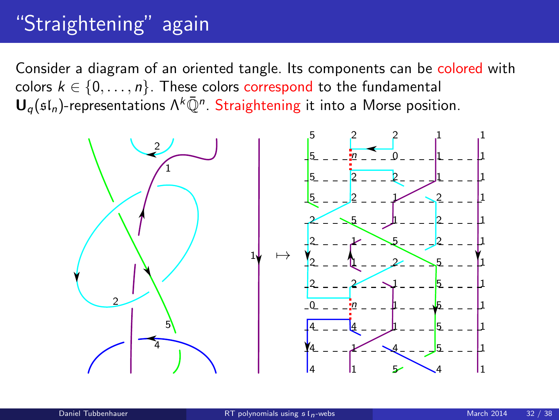# "Straightening" again

Consider a diagram of an oriented tangle. Its components can be colored with colors  $k \in \{0, \ldots, n\}$ . These colors correspond to the fundamental  ${\mathsf U}_q(\mathfrak{sl}_n)$ -representations  $\Lambda^k\bar{\mathbb Q}^n$ . Straightening it into a Morse position.

<span id="page-31-0"></span>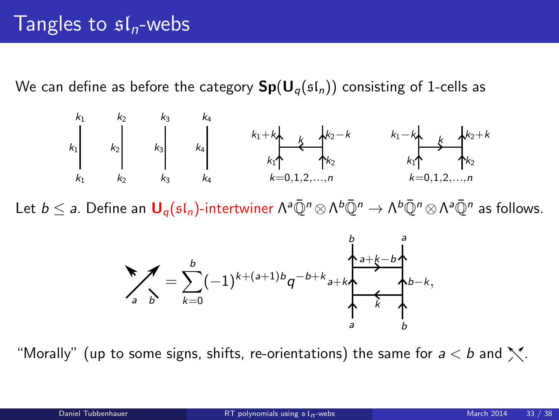We can define as before the category  $\mathbf{Sp}(\mathbf{U}_q(\mathfrak{sl}_n))$  consisting of 1-cells as



Let  $b\leq$   $a.$  Define an  $\bm{\mathsf{U}}_q(\mathfrak{sl}_n)$ -intertwiner  $\Lambda^a\bar{\mathbb{Q}}^n\otimes\Lambda^b\bar{\mathbb{Q}}^n\to\Lambda^b\bar{\mathbb{Q}}^n\otimes\Lambda^a\bar{\mathbb{Q}}^n$  as follows.



"Morally" (up to some signs, shifts, re-orientations) the same for  $a < b$  and  $\sum$ .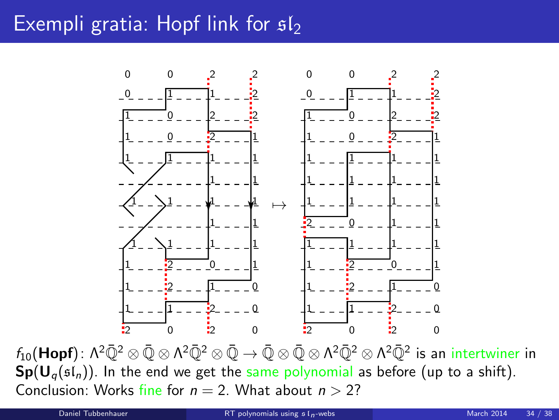# Exempli gratia: Hopf link for  $s1$



 $f_{10}(\mathsf{Hopf})$ :  $\Lambda^2\bar{\mathbb{Q}}^2\otimes \bar{\mathbb{Q}}\otimes \Lambda^2\bar{\mathbb{Q}}^2\otimes \bar{\mathbb{Q}}\to \bar{\mathbb{Q}}\otimes \bar{\mathbb{Q}}\otimes \Lambda^2\bar{\mathbb{Q}}^2\otimes \Lambda^2\bar{\mathbb{Q}}^2$  is an intertwiner in  $Sp(U_q(\mathfrak{sl}_n))$ . In the end we get the same polynomial as before (up to a shift). Conclusion: Works fine for  $n = 2$ . What about  $n > 2$ ?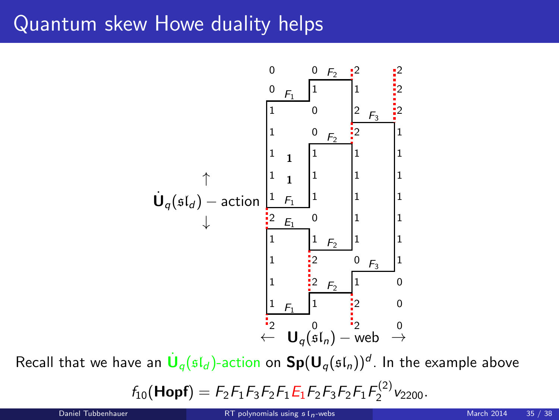## Quantum skew Howe duality helps



Recall that we have an  $\dot{\textbf U}_q(\mathfrak{sl}_d)$ -action on  $\textbf{Sp}(\textbf U_q(\mathfrak{sl}_n))^d$ . In the example above

 $f_{10}$ (Hopf) =  $F_2F_1F_3F_2F_1E_1F_2F_3F_2F_1F_2^{(2)}v_{2200}$ .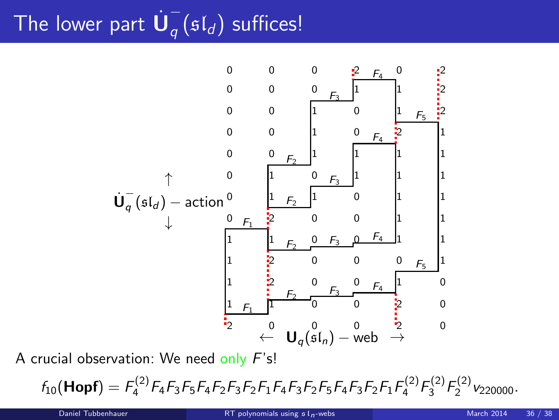#### The lower part  $\dot{\mathsf{U}}_q^ _{q}$  ( $\mathfrak{sl}_d$ ) suffices!



A crucial observation: We need only F's!

 $f_{10}$ (Hopf) =  $F_4^{(2)}F_4F_3F_5F_4F_2F_3F_2F_1F_4F_3F_2F_5F_4F_3F_2F_1F_4^{(2)}F_3^{(2)}F_2^{(2)}v_{220000}$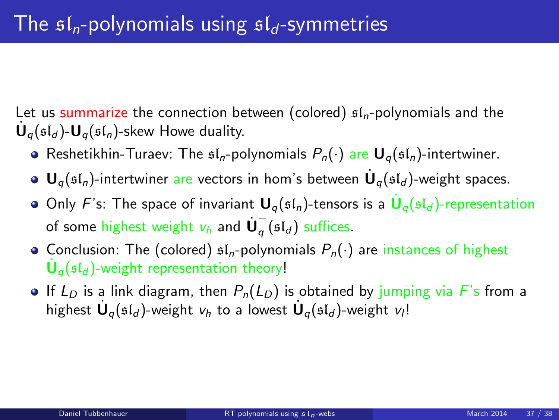Let us summarize the connection between (colored)  $sI_n$ -polynomials and the  $\dot{\mathbf{U}}_q(\mathfrak{sl}_d)$ - $\mathbf{U}_q(\mathfrak{sl}_n)$ -skew Howe duality.

- Reshetikhin-Turaev: The  $\mathfrak{sl}_n$ -polynomials  $P_n(\cdot)$  are  $\mathbf{U}_n(\mathfrak{sl}_n)$ -intertwiner.
- ${\mathbf U}_q(\mathfrak{sl}_n)$ -intertwiner are vectors in hom's between  $\dot{{\mathbf U}}_q(\mathfrak{sl}_d)$ -weight spaces.
- Only F's: The space of invariant  $\mathbf{U}_q(\mathfrak{sl}_n)$ -tensors is a  $\dot{\mathbf{U}}_q(\mathfrak{sl}_d)$ -representation of some highest weight  $v_h$  and  $\dot{\bm{\mathsf{U}}}_q^ _q$  ( $\mathfrak{sl}_d$ ) suffices.
- Conclusion: The (colored)  $\mathfrak{sl}_n$ -polynomials  $P_n(\cdot)$  are instances of highest  $\dot{\mathbf{U}}_q(\mathfrak{sl}_d)$ -weight representation theory!
- If L<sub>D</sub> is a link diagram, then  $P_n(L_D)$  is obtained by jumping via F's from a highest  $\dot{\mathbf U}_q(\mathfrak{sl}_d)$ -weight  $v_h$  to a lowest  $\dot{\mathbf U}_q(\mathfrak{sl}_d)$ -weight  $v_l!$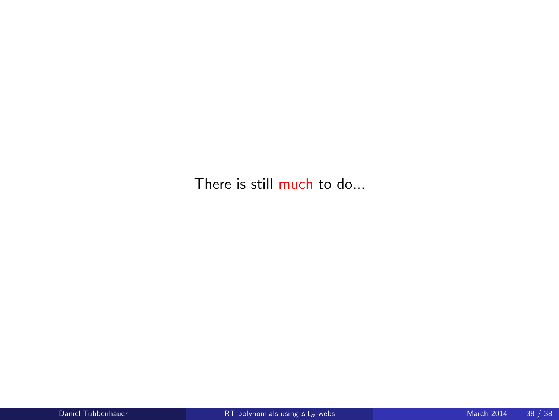There is still much to do...